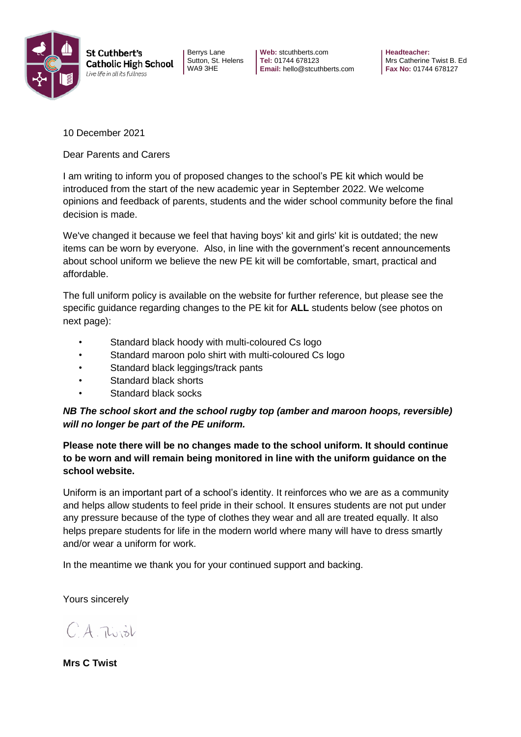

Berrys Lane Sutton, St. Helens WA9 3HE

**Web:** stcuthberts.com **Tel:** 01744 678123 **Email:** hello@stcuthberts.com **Headteacher:**  Mrs Catherine Twist B. Ed **Fax No:** 01744 678127

10 December 2021

Dear Parents and Carers

I am writing to inform you of proposed changes to the school's PE kit which would be introduced from the start of the new academic year in September 2022. We welcome opinions and feedback of parents, students and the wider school community before the final decision is made.

We've changed it because we feel that having boys' kit and girls' kit is outdated; the new items can be worn by everyone. Also, in line with the government's recent announcements about school uniform we believe the new PE kit will be comfortable, smart, practical and affordable.

The full uniform policy is available on the website for further reference, but please see the specific guidance regarding changes to the PE kit for **ALL** students below (see photos on next page):

- Standard black hoody with multi-coloured Cs logo
- Standard maroon polo shirt with multi-coloured Cs logo
- Standard black leggings/track pants
- Standard black shorts
- Standard black socks

## *NB The school skort and the school rugby top (amber and maroon hoops, reversible) will no longer be part of the PE uniform.*

**Please note there will be no changes made to the school uniform. It should continue to be worn and will remain being monitored in line with the uniform guidance on the school website.**

Uniform is an important part of a school's identity. It reinforces who we are as a community and helps allow students to feel pride in their school. It ensures students are not put under any pressure because of the type of clothes they wear and all are treated equally. It also helps prepare students for life in the modern world where many will have to dress smartly and/or wear a uniform for work.

In the meantime we thank you for your continued support and backing.

Yours sincerely

 $CA$   $Tunk$ 

**Mrs C Twist**